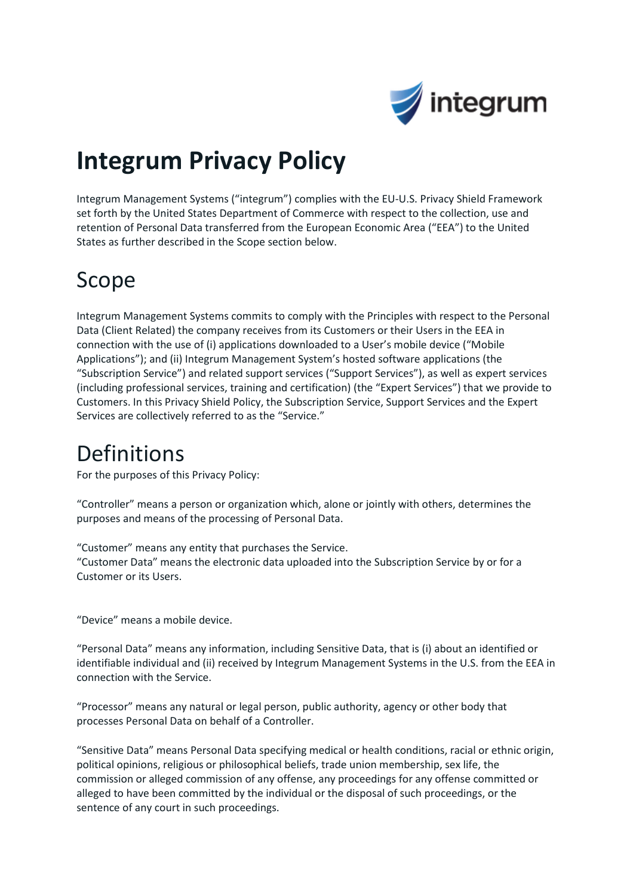

# **Integrum Privacy Policy**

Integrum Management Systems ("integrum") complies with the EU-U.S. Privacy Shield Framework set forth by the United States Department of Commerce with respect to the collection, use and retention of Personal Data transferred from the European Economic Area ("EEA") to the United States as further described in the Scope section below.

#### Scope

Integrum Management Systems commits to comply with the Principles with respect to the Personal Data (Client Related) the company receives from its Customers or their Users in the EEA in connection with the use of (i) applications downloaded to a User's mobile device ("Mobile Applications"); and (ii) Integrum Management System's hosted software applications (the "Subscription Service") and related support services ("Support Services"), as well as expert services (including professional services, training and certification) (the "Expert Services") that we provide to Customers. In this Privacy Shield Policy, the Subscription Service, Support Services and the Expert Services are collectively referred to as the "Service."

#### Definitions

For the purposes of this Privacy Policy:

"Controller" means a person or organization which, alone or jointly with others, determines the purposes and means of the processing of Personal Data.

"Customer" means any entity that purchases the Service. "Customer Data" means the electronic data uploaded into the Subscription Service by or for a Customer or its Users.

"Device" means a mobile device.

"Personal Data" means any information, including Sensitive Data, that is (i) about an identified or identifiable individual and (ii) received by Integrum Management Systems in the U.S. from the EEA in connection with the Service.

"Processor" means any natural or legal person, public authority, agency or other body that processes Personal Data on behalf of a Controller.

"Sensitive Data" means Personal Data specifying medical or health conditions, racial or ethnic origin, political opinions, religious or philosophical beliefs, trade union membership, sex life, the commission or alleged commission of any offense, any proceedings for any offense committed or alleged to have been committed by the individual or the disposal of such proceedings, or the sentence of any court in such proceedings.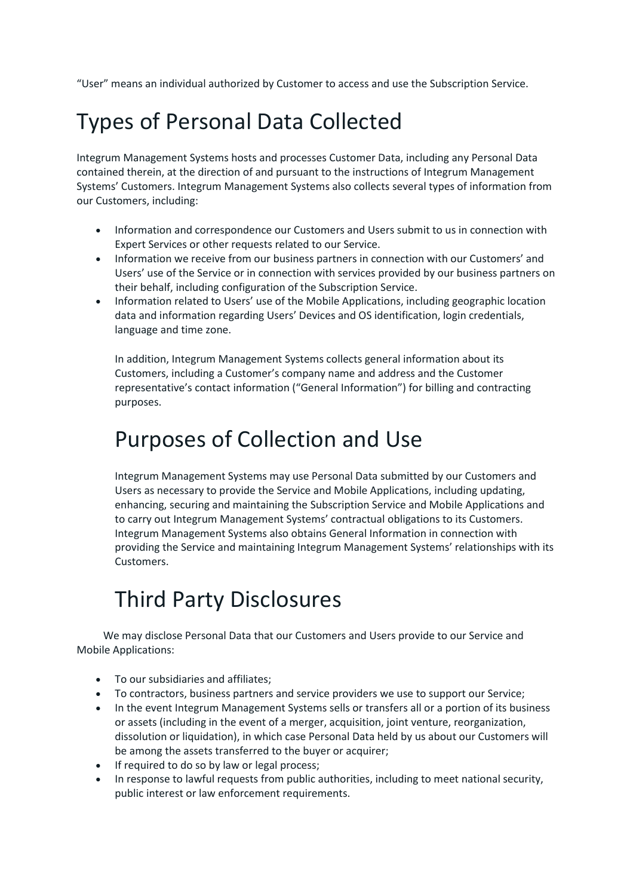"User" means an individual authorized by Customer to access and use the Subscription Service.

## Types of Personal Data Collected

Integrum Management Systems hosts and processes Customer Data, including any Personal Data contained therein, at the direction of and pursuant to the instructions of Integrum Management Systems' Customers. Integrum Management Systems also collects several types of information from our Customers, including:

- Information and correspondence our Customers and Users submit to us in connection with Expert Services or other requests related to our Service.
- Information we receive from our business partners in connection with our Customers' and Users' use of the Service or in connection with services provided by our business partners on their behalf, including configuration of the Subscription Service.
- Information related to Users' use of the Mobile Applications, including geographic location data and information regarding Users' Devices and OS identification, login credentials, language and time zone.

In addition, Integrum Management Systems collects general information about its Customers, including a Customer's company name and address and the Customer representative's contact information ("General Information") for billing and contracting purposes.

#### Purposes of Collection and Use

Integrum Management Systems may use Personal Data submitted by our Customers and Users as necessary to provide the Service and Mobile Applications, including updating, enhancing, securing and maintaining the Subscription Service and Mobile Applications and to carry out Integrum Management Systems' contractual obligations to its Customers. Integrum Management Systems also obtains General Information in connection with providing the Service and maintaining Integrum Management Systems' relationships with its Customers.

## Third Party Disclosures

 We may disclose Personal Data that our Customers and Users provide to our Service and Mobile Applications:

- To our subsidiaries and affiliates;
- To contractors, business partners and service providers we use to support our Service;
- In the event Integrum Management Systems sells or transfers all or a portion of its business or assets (including in the event of a merger, acquisition, joint venture, reorganization, dissolution or liquidation), in which case Personal Data held by us about our Customers will be among the assets transferred to the buyer or acquirer;
- If required to do so by law or legal process;
- In response to lawful requests from public authorities, including to meet national security, public interest or law enforcement requirements.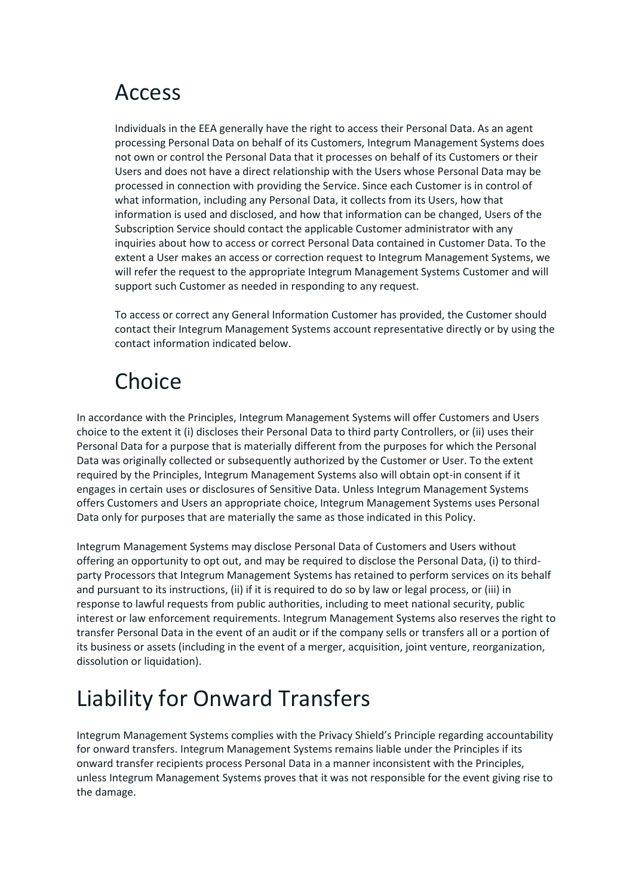#### Access

Individuals in the EEA generally have the right to access their Personal Data. As an agent processing Personal Data on behalf of its Customers, Integrum Management Systems does not own or control the Personal Data that it processes on behalf of its Customers or their Users and does not have a direct relationship with the Users whose Personal Data may be processed in connection with providing the Service. Since each Customer is in control of what information, including any Personal Data, it collects from its Users, how that information is used and disclosed, and how that information can be changed, Users of the Subscription Service should contact the applicable Customer administrator with any inquiries about how to access or correct Personal Data contained in Customer Data. To the extent a User makes an access or correction request to Integrum Management Systems, we will refer the request to the appropriate Integrum Management Systems Customer and will support such Customer as needed in responding to any request.

To access or correct any General Information Customer has provided, the Customer should contact their Integrum Management Systems account representative directly or by using the contact information indicated below.

## **Choice**

In accordance with the Principles, Integrum Management Systems will offer Customers and Users choice to the extent it (i) discloses their Personal Data to third party Controllers, or (ii) uses their Personal Data for a purpose that is materially different from the purposes for which the Personal Data was originally collected or subsequently authorized by the Customer or User. To the extent required by the Principles, Integrum Management Systems also will obtain opt-in consent if it engages in certain uses or disclosures of Sensitive Data. Unless Integrum Management Systems offers Customers and Users an appropriate choice, Integrum Management Systems uses Personal Data only for purposes that are materially the same as those indicated in this Policy.

Integrum Management Systems may disclose Personal Data of Customers and Users without offering an opportunity to opt out, and may be required to disclose the Personal Data, (i) to thirdparty Processors that Integrum Management Systems has retained to perform services on its behalf and pursuant to its instructions, (ii) if it is required to do so by law or legal process, or (iii) in response to lawful requests from public authorities, including to meet national security, public interest or law enforcement requirements. Integrum Management Systems also reserves the right to transfer Personal Data in the event of an audit or if the company sells or transfers all or a portion of its business or assets (including in the event of a merger, acquisition, joint venture, reorganization, dissolution or liquidation).

# Liability for Onward Transfers

Integrum Management Systems complies with the Privacy Shield's Principle regarding accountability for onward transfers. Integrum Management Systems remains liable under the Principles if its onward transfer recipients process Personal Data in a manner inconsistent with the Principles, unless Integrum Management Systems proves that it was not responsible for the event giving rise to the damage.